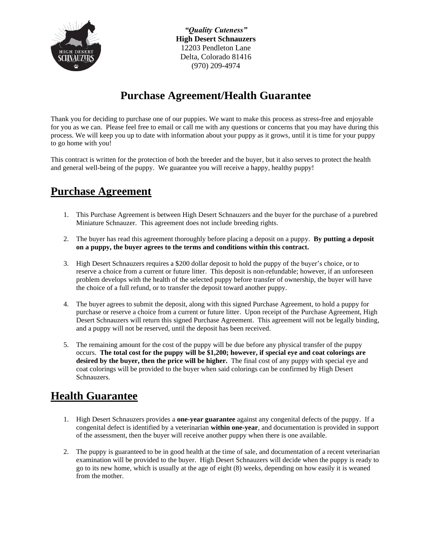

*"Quality Cuteness"* **High Desert Schnauzers**  12203 Pendleton Lane Delta, Colorado 81416 (970) 209-4974

## **Purchase Agreement/Health Guarantee**

Thank you for deciding to purchase one of our puppies. We want to make this process as stress-free and enjoyable for you as we can. Please feel free to email or call me with any questions or concerns that you may have during this process. We will keep you up to date with information about your puppy as it grows, until it is time for your puppy to go home with you!

This contract is written for the protection of both the breeder and the buyer, but it also serves to protect the health and general well-being of the puppy. We guarantee you will receive a happy, healthy puppy!

## **Purchase Agreement**

- 1. This Purchase Agreement is between High Desert Schnauzers and the buyer for the purchase of a purebred Miniature Schnauzer. This agreement does not include breeding rights.
- 2. The buyer has read this agreement thoroughly before placing a deposit on a puppy. **By putting a deposit on a puppy, the buyer agrees to the terms and conditions within this contract.**
- 3. High Desert Schnauzers requires a \$200 dollar deposit to hold the puppy of the buyer's choice, or to reserve a choice from a current or future litter. This deposit is non-refundable; however, if an unforeseen problem develops with the health of the selected puppy before transfer of ownership, the buyer will have the choice of a full refund, or to transfer the deposit toward another puppy.
- 4. The buyer agrees to submit the deposit, along with this signed Purchase Agreement, to hold a puppy for purchase or reserve a choice from a current or future litter. Upon receipt of the Purchase Agreement, High Desert Schnauzers will return this signed Purchase Agreement. This agreement will not be legally binding, and a puppy will not be reserved, until the deposit has been received.
- 5. The remaining amount for the cost of the puppy will be due before any physical transfer of the puppy occurs. **The total cost for the puppy will be \$1,200; however, if special eye and coat colorings are desired by the buyer, then the price will be higher.** The final cost of any puppy with special eye and coat colorings will be provided to the buyer when said colorings can be confirmed by High Desert Schnauzers.

## **Health Guarantee**

- 1. High Desert Schnauzers provides a **one-year guarantee** against any congenital defects of the puppy. If a congenital defect is identified by a veterinarian **within one-year**, and documentation is provided in support of the assessment, then the buyer will receive another puppy when there is one available.
- 2. The puppy is guaranteed to be in good health at the time of sale, and documentation of a recent veterinarian examination will be provided to the buyer. High Desert Schnauzers will decide when the puppy is ready to go to its new home, which is usually at the age of eight (8) weeks, depending on how easily it is weaned from the mother.